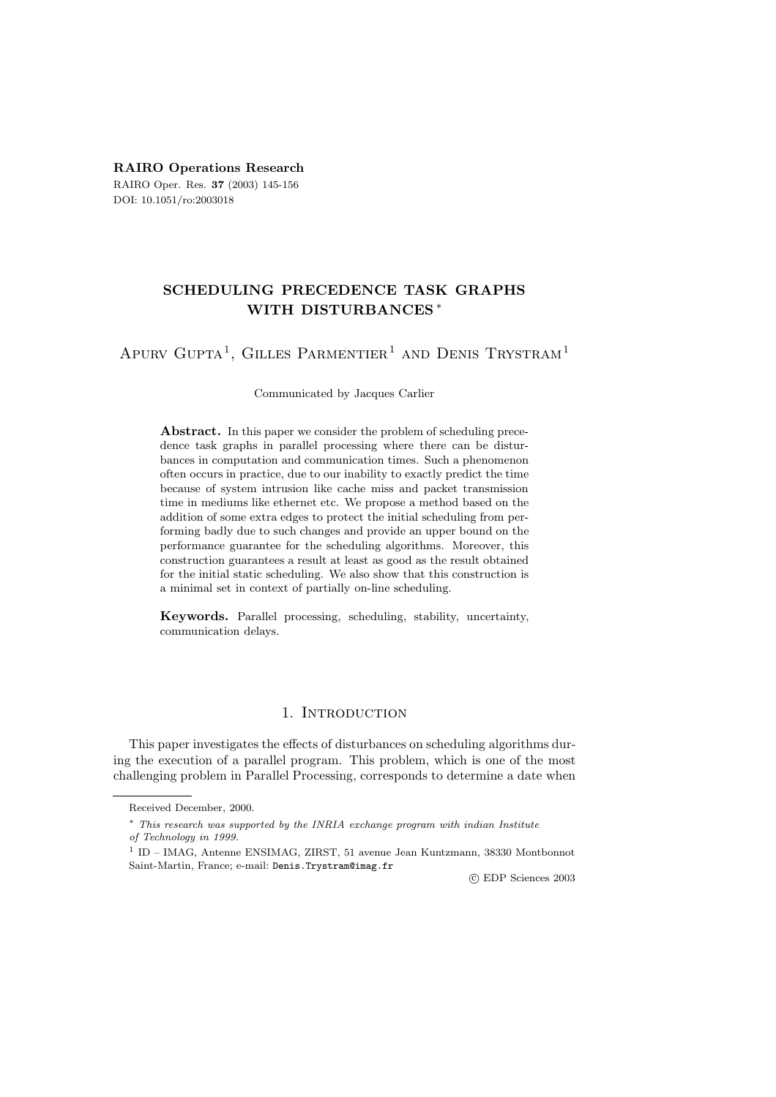**RAIRO Operations Research** RAIRO Oper. Res. **37** (2003) 145-156 DOI: 10.1051/ro:2003018

# **SCHEDULING PRECEDENCE TASK GRAPHS WITH DISTURBANCES** ∗

# APURV GUPTA<sup>1</sup>, GILLES PARMENTIER<sup>1</sup> AND DENIS TRYSTRAM<sup>1</sup>

### Communicated by Jacques Carlier

Abstract. In this paper we consider the problem of scheduling precedence task graphs in parallel processing where there can be disturbances in computation and communication times. Such a phenomenon often occurs in practice, due to our inability to exactly predict the time because of system intrusion like cache miss and packet transmission time in mediums like ethernet etc. We propose a method based on the addition of some extra edges to protect the initial scheduling from performing badly due to such changes and provide an upper bound on the performance guarantee for the scheduling algorithms. Moreover, this construction guarantees a result at least as good as the result obtained for the initial static scheduling. We also show that this construction is a minimal set in context of partially on-line scheduling.

**Keywords.** Parallel processing, scheduling, stability, uncertainty, communication delays.

## 1. INTRODUCTION

This paper investigates the effects of disturbances on scheduling algorithms during the execution of a parallel program. This problem, which is one of the most challenging problem in Parallel Processing, corresponds to determine a date when

c EDP Sciences 2003

Received December, 2000.

<sup>∗</sup> This research was supported by the INRIA exchange program with indian Institute of Technology in 1999.

<sup>1</sup> ID – IMAG, Antenne ENSIMAG, ZIRST, 51 avenue Jean Kuntzmann, 38330 Montbonnot Saint-Martin, France; e-mail: Denis.Trystram@imag.fr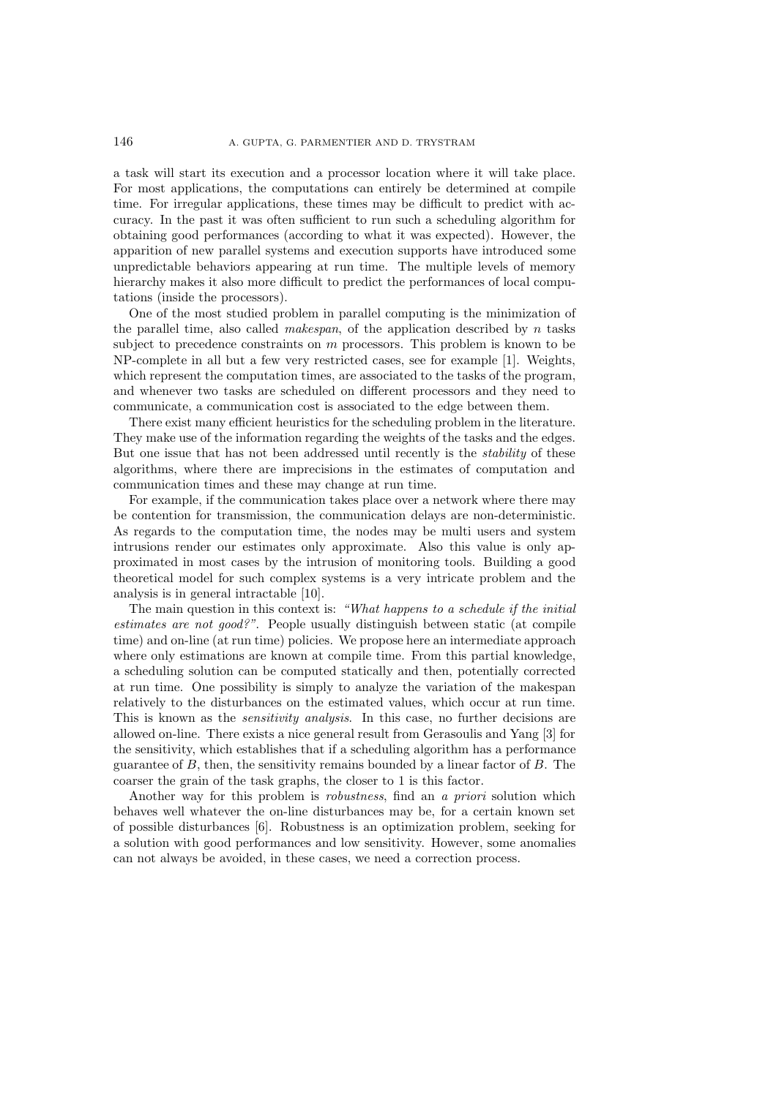a task will start its execution and a processor location where it will take place. For most applications, the computations can entirely be determined at compile time. For irregular applications, these times may be difficult to predict with accuracy. In the past it was often sufficient to run such a scheduling algorithm for obtaining good performances (according to what it was expected). However, the apparition of new parallel systems and execution supports have introduced some unpredictable behaviors appearing at run time. The multiple levels of memory hierarchy makes it also more difficult to predict the performances of local computations (inside the processors).

One of the most studied problem in parallel computing is the minimization of the parallel time, also called *makespan*, of the application described by n tasks subject to precedence constraints on  $m$  processors. This problem is known to be NP-complete in all but a few very restricted cases, see for example [1]. Weights, which represent the computation times, are associated to the tasks of the program, and whenever two tasks are scheduled on different processors and they need to communicate, a communication cost is associated to the edge between them.

There exist many efficient heuristics for the scheduling problem in the literature. They make use of the information regarding the weights of the tasks and the edges. But one issue that has not been addressed until recently is the *stability* of these algorithms, where there are imprecisions in the estimates of computation and communication times and these may change at run time.

For example, if the communication takes place over a network where there may be contention for transmission, the communication delays are non-deterministic. As regards to the computation time, the nodes may be multi users and system intrusions render our estimates only approximate. Also this value is only approximated in most cases by the intrusion of monitoring tools. Building a good theoretical model for such complex systems is a very intricate problem and the analysis is in general intractable [10].

The main question in this context is: *"What happens to a schedule if the initial estimates are not good?"*. People usually distinguish between static (at compile time) and on-line (at run time) policies. We propose here an intermediate approach where only estimations are known at compile time. From this partial knowledge, a scheduling solution can be computed statically and then, potentially corrected at run time. One possibility is simply to analyze the variation of the makespan relatively to the disturbances on the estimated values, which occur at run time. This is known as the *sensitivity analysis*. In this case, no further decisions are allowed on-line. There exists a nice general result from Gerasoulis and Yang [3] for the sensitivity, which establishes that if a scheduling algorithm has a performance guarantee of  $B$ , then, the sensitivity remains bounded by a linear factor of  $B$ . The coarser the grain of the task graphs, the closer to 1 is this factor.

Another way for this problem is *robustness*, find an *a priori* solution which behaves well whatever the on-line disturbances may be, for a certain known set of possible disturbances [6]. Robustness is an optimization problem, seeking for a solution with good performances and low sensitivity. However, some anomalies can not always be avoided, in these cases, we need a correction process.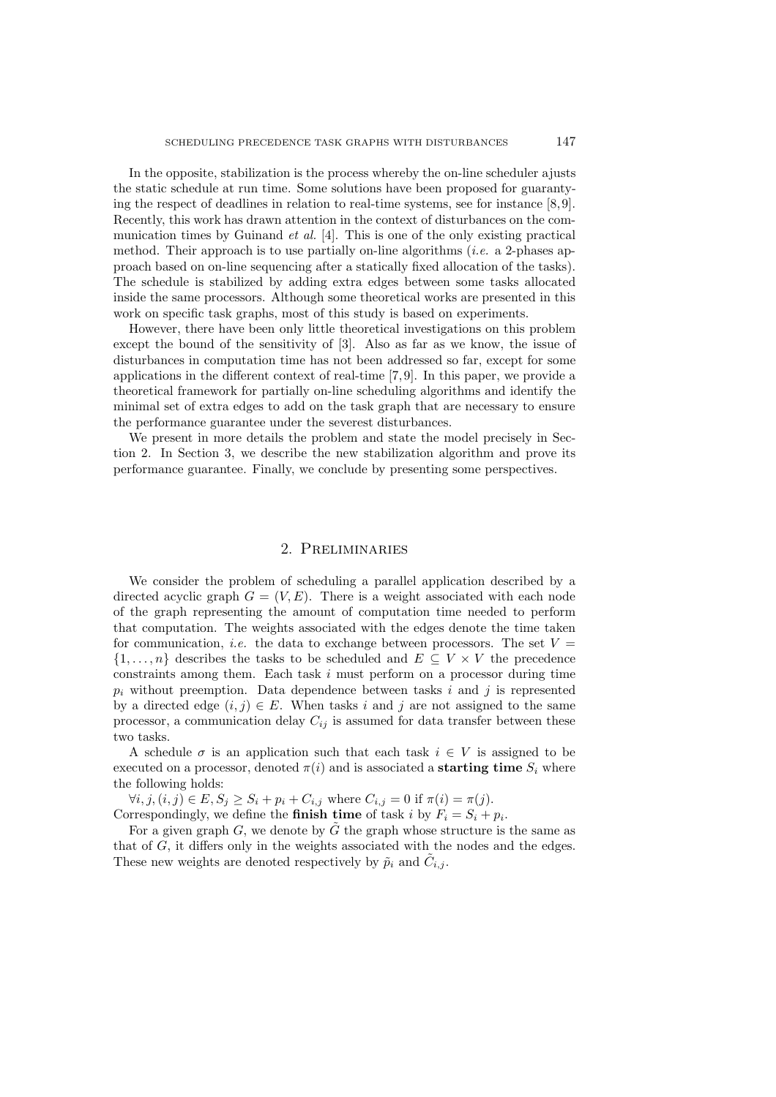In the opposite, stabilization is the process whereby the on-line scheduler ajusts the static schedule at run time. Some solutions have been proposed for guarantying the respect of deadlines in relation to real-time systems, see for instance [8, 9]. Recently, this work has drawn attention in the context of disturbances on the communication times by Guinand *et al.* [4]. This is one of the only existing practical method. Their approach is to use partially on-line algorithms (*i.e.* a 2-phases approach based on on-line sequencing after a statically fixed allocation of the tasks). The schedule is stabilized by adding extra edges between some tasks allocated inside the same processors. Although some theoretical works are presented in this work on specific task graphs, most of this study is based on experiments.

However, there have been only little theoretical investigations on this problem except the bound of the sensitivity of [3]. Also as far as we know, the issue of disturbances in computation time has not been addressed so far, except for some applications in the different context of real-time [7, 9]. In this paper, we provide a theoretical framework for partially on-line scheduling algorithms and identify the minimal set of extra edges to add on the task graph that are necessary to ensure the performance guarantee under the severest disturbances.

We present in more details the problem and state the model precisely in Section 2. In Section 3, we describe the new stabilization algorithm and prove its performance guarantee. Finally, we conclude by presenting some perspectives.

# 2. Preliminaries

We consider the problem of scheduling a parallel application described by a directed acyclic graph  $G = (V, E)$ . There is a weight associated with each node of the graph representing the amount of computation time needed to perform that computation. The weights associated with the edges denote the time taken for communication, *i.e.* the data to exchange between processors. The set  $V =$  $\{1,\ldots,n\}$  describes the tasks to be scheduled and  $E \subseteq V \times V$  the precedence constraints among them. Each task  $i$  must perform on a processor during time  $p_i$  without preemption. Data dependence between tasks i and j is represented by a directed edge  $(i, j) \in E$ . When tasks i and j are not assigned to the same processor, a communication delay  $C_{ij}$  is assumed for data transfer between these two tasks.

A schedule  $\sigma$  is an application such that each task  $i \in V$  is assigned to be executed on a processor, denoted  $\pi(i)$  and is associated a **starting time**  $S_i$  where the following holds:

 $\forall i, j, (i, j) \in E, S_j \ge S_i + p_i + C_{i,j}$  where  $C_{i,j} = 0$  if  $\pi(i) = \pi(j)$ .

Correspondingly, we define the **finish time** of task i by  $F_i = S_i + p_i$ .

For a given graph G, we denote by  $\tilde{G}$  the graph whose structure is the same as that of G, it differs only in the weights associated with the nodes and the edges. These new weights are denoted respectively by  $\tilde{p}_i$  and  $\tilde{C}_{i,j}$ .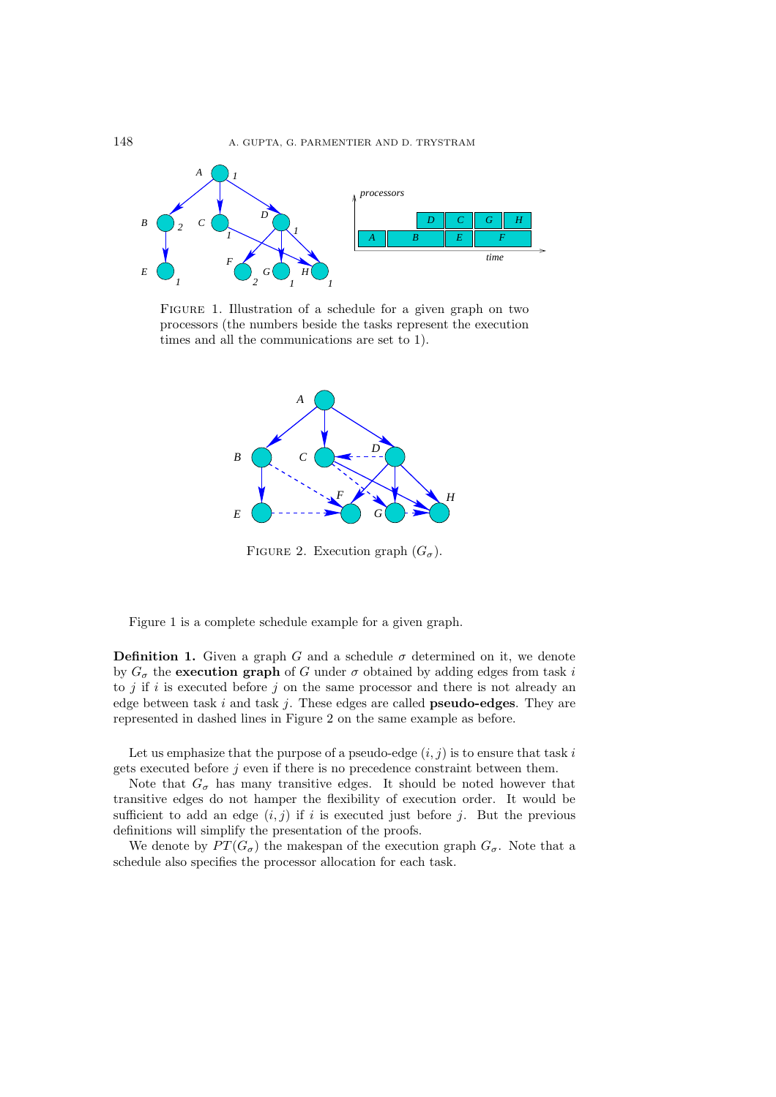

FIGURE 1. Illustration of a schedule for a given graph on two processors (the numbers beside the tasks represent the execution times and all the communications are set to 1).



FIGURE 2. Execution graph  $(G_{\sigma})$ .

Figure 1 is a complete schedule example for a given graph.

**Definition 1.** Given a graph G and a schedule  $\sigma$  determined on it, we denote by  $G_{\sigma}$  the **execution graph** of G under  $\sigma$  obtained by adding edges from task i to  $j$  if  $i$  is executed before  $j$  on the same processor and there is not already an edge between task i and task j. These edges are called **pseudo-edges**. They are represented in dashed lines in Figure 2 on the same example as before.

Let us emphasize that the purpose of a pseudo-edge  $(i, j)$  is to ensure that task i gets executed before  $j$  even if there is no precedence constraint between them.

Note that  $G_{\sigma}$  has many transitive edges. It should be noted however that transitive edges do not hamper the flexibility of execution order. It would be sufficient to add an edge  $(i, j)$  if i is executed just before j. But the previous definitions will simplify the presentation of the proofs.

We denote by  $PT(G_{\sigma})$  the makespan of the execution graph  $G_{\sigma}$ . Note that a schedule also specifies the processor allocation for each task.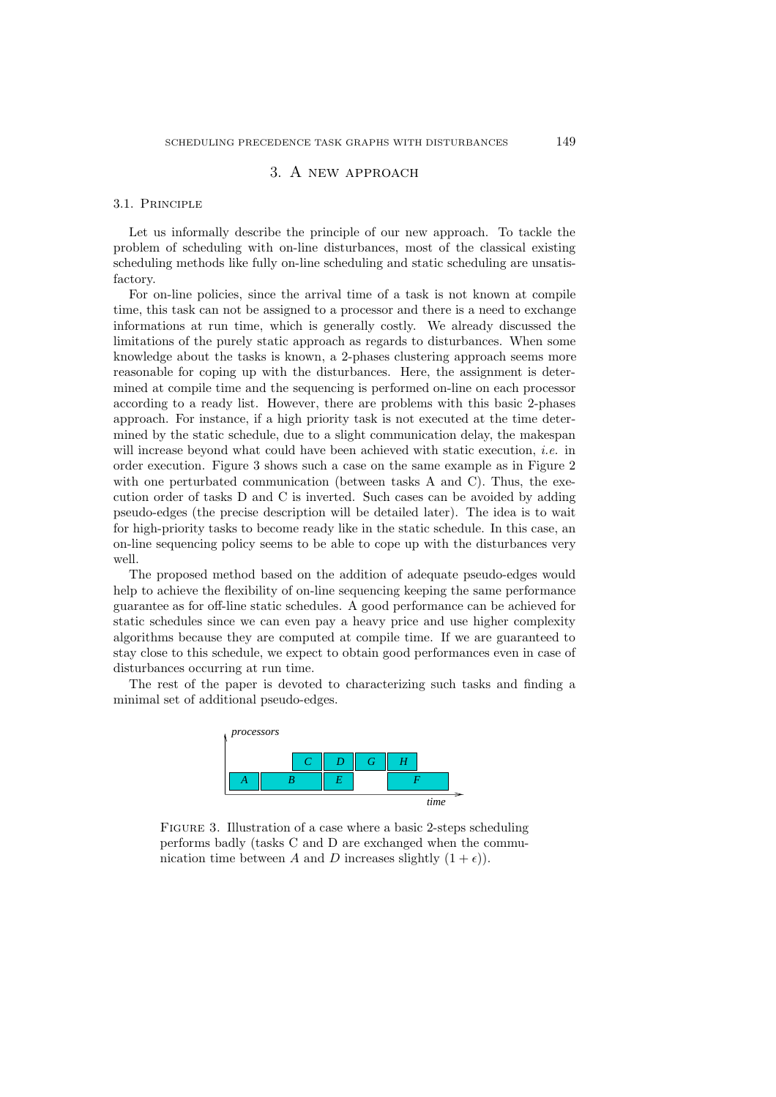# 3. A new approach

#### 3.1. Principle

Let us informally describe the principle of our new approach. To tackle the problem of scheduling with on-line disturbances, most of the classical existing scheduling methods like fully on-line scheduling and static scheduling are unsatisfactory.

For on-line policies, since the arrival time of a task is not known at compile time, this task can not be assigned to a processor and there is a need to exchange informations at run time, which is generally costly. We already discussed the limitations of the purely static approach as regards to disturbances. When some knowledge about the tasks is known, a 2-phases clustering approach seems more reasonable for coping up with the disturbances. Here, the assignment is determined at compile time and the sequencing is performed on-line on each processor according to a ready list. However, there are problems with this basic 2-phases approach. For instance, if a high priority task is not executed at the time determined by the static schedule, due to a slight communication delay, the makespan will increase beyond what could have been achieved with static execution, *i.e.* in order execution. Figure 3 shows such a case on the same example as in Figure 2 with one perturbated communication (between tasks A and C). Thus, the execution order of tasks D and C is inverted. Such cases can be avoided by adding pseudo-edges (the precise description will be detailed later). The idea is to wait for high-priority tasks to become ready like in the static schedule. In this case, an on-line sequencing policy seems to be able to cope up with the disturbances very well.

The proposed method based on the addition of adequate pseudo-edges would help to achieve the flexibility of on-line sequencing keeping the same performance guarantee as for off-line static schedules. A good performance can be achieved for static schedules since we can even pay a heavy price and use higher complexity algorithms because they are computed at compile time. If we are guaranteed to stay close to this schedule, we expect to obtain good performances even in case of disturbances occurring at run time.

The rest of the paper is devoted to characterizing such tasks and finding a minimal set of additional pseudo-edges.



FIGURE 3. Illustration of a case where a basic 2-steps scheduling performs badly (tasks C and D are exchanged when the communication time between A and D increases slightly  $(1 + \epsilon)$ .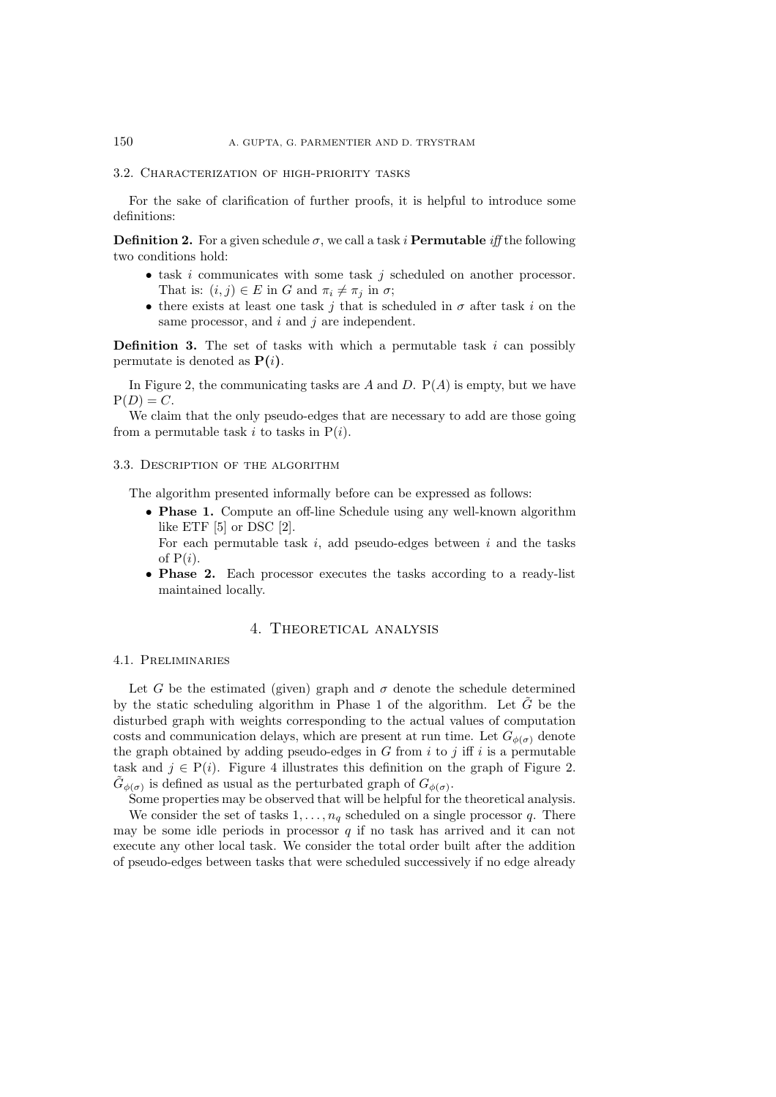#### 3.2. Characterization of high-priority tasks

For the sake of clarification of further proofs, it is helpful to introduce some definitions:

**Definition 2.** For a given schedule  $\sigma$ , we call a task i **Permutable** *iff* the following two conditions hold:

- $\bullet$  task *i* communicates with some task *j* scheduled on another processor. That is:  $(i, j) \in E$  in G and  $\pi_i \neq \pi_j$  in  $\sigma$ ;
- there exists at least one task j that is scheduled in  $\sigma$  after task i on the same processor, and  $i$  and  $j$  are independent.

**Definition 3.** The set of tasks with which a permutable task  $i$  can possibly permutate is denoted as  $P(i)$ .

In Figure 2, the communicating tasks are A and D.  $P(A)$  is empty, but we have  $P(D) = C$ .

We claim that the only pseudo-edges that are necessary to add are those going from a permutable task i to tasks in  $P(i)$ .

### 3.3. Description of the algorithm

The algorithm presented informally before can be expressed as follows:

• **Phase 1.** Compute an off-line Schedule using any well-known algorithm like ETF [5] or DSC [2].

For each permutable task  $i$ , add pseudo-edges between  $i$  and the tasks of  $P(i)$ .

• **Phase 2.** Each processor executes the tasks according to a ready-list maintained locally.

### 4. Theoretical analysis

#### 4.1. Preliminaries

Let G be the estimated (given) graph and  $\sigma$  denote the schedule determined by the static scheduling algorithm in Phase 1 of the algorithm. Let  $\tilde{G}$  be the disturbed graph with weights corresponding to the actual values of computation costs and communication delays, which are present at run time. Let  $G_{\phi(\sigma)}$  denote the graph obtained by adding pseudo-edges in G from  $i$  to j iff i is a permutable task and  $j \in P(i)$ . Figure 4 illustrates this definition on the graph of Figure 2.  $G_{\phi(\sigma)}$  is defined as usual as the perturbated graph of  $G_{\phi(\sigma)}$ .

Some properties may be observed that will be helpful for the theoretical analysis.

We consider the set of tasks  $1, \ldots, n_q$  scheduled on a single processor q. There may be some idle periods in processor  $q$  if no task has arrived and it can not execute any other local task. We consider the total order built after the addition of pseudo-edges between tasks that were scheduled successively if no edge already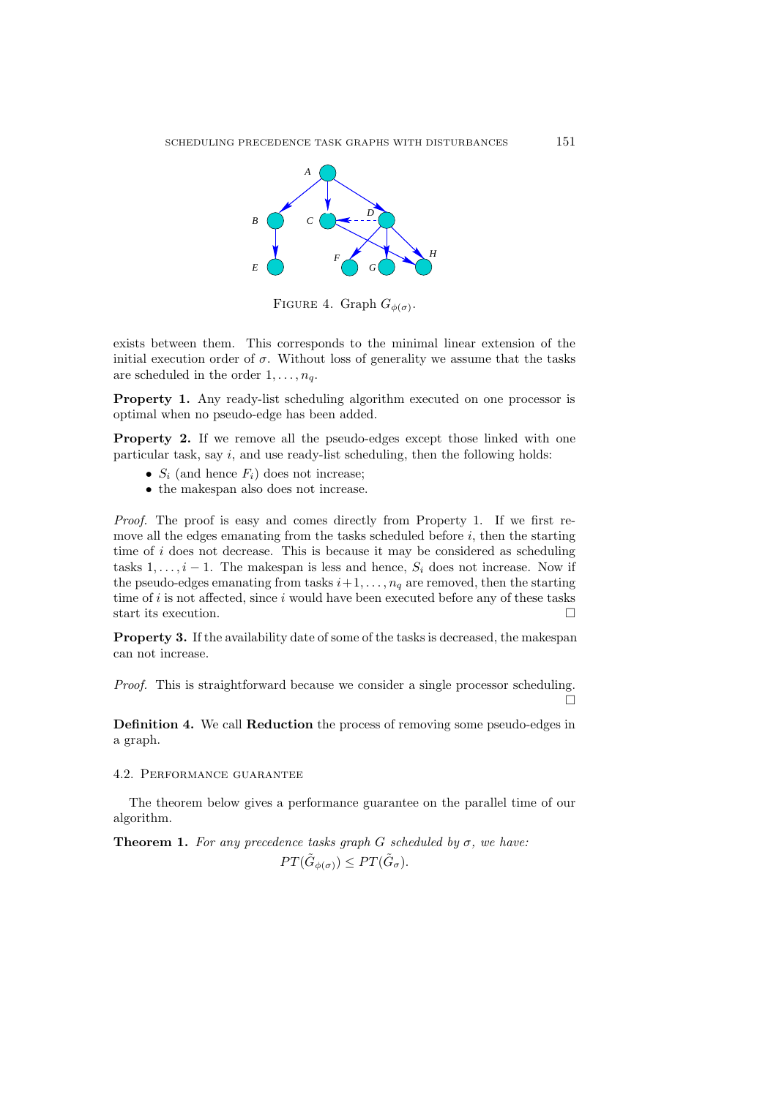

FIGURE 4. Graph  $G_{\phi(\sigma)}$ .

exists between them. This corresponds to the minimal linear extension of the initial execution order of  $\sigma$ . Without loss of generality we assume that the tasks are scheduled in the order  $1, \ldots, n_q$ .

Property 1. Any ready-list scheduling algorithm executed on one processor is optimal when no pseudo-edge has been added.

**Property 2.** If we remove all the pseudo-edges except those linked with one particular task, say  $i$ , and use ready-list scheduling, then the following holds:

- $S_i$  (and hence  $F_i$ ) does not increase;
- the makespan also does not increase.

*Proof.* The proof is easy and comes directly from Property 1. If we first remove all the edges emanating from the tasks scheduled before  $i$ , then the starting time of i does not decrease. This is because it may be considered as scheduling tasks  $1, \ldots, i-1$ . The makespan is less and hence,  $S_i$  does not increase. Now if the pseudo-edges emanating from tasks  $i+1,\ldots,n_q$  are removed, then the starting time of  $i$  is not affected, since  $i$  would have been executed before any of these tasks start its execution.

**Property 3.** If the availability date of some of the tasks is decreased, the makespan can not increase.

*Proof.* This is straightforward because we consider a single processor scheduling.  $\Box$ 

**Definition 4.** We call **Reduction** the process of removing some pseudo-edges in a graph.

### 4.2. Performance guarantee

The theorem below gives a performance guarantee on the parallel time of our algorithm.

**Theorem 1.** *For any precedence tasks graph*  $G$  *scheduled by*  $\sigma$ *, we have:*  $PT(\tilde{G}_{\phi(\sigma)}) \leq PT(\tilde{G}_{\sigma}).$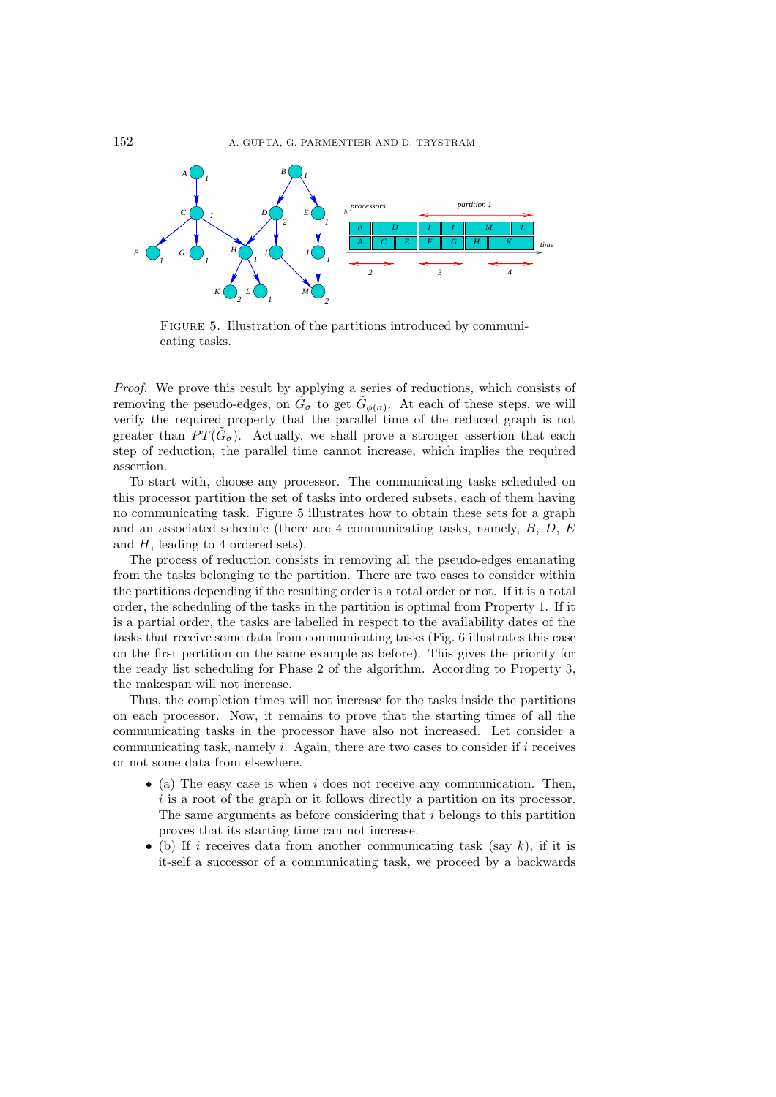

FIGURE 5. Illustration of the partitions introduced by communicating tasks.

*Proof.* We prove this result by applying a series of reductions, which consists of removing the pseudo-edges, on  $G_{\sigma}$  to get  $G_{\phi(\sigma)}$ . At each of these steps, we will verify the required property that the parallel time of the reduced graph is not greater than  $PT(\tilde{G}_{\sigma})$ . Actually, we shall prove a stronger assertion that each step of reduction, the parallel time cannot increase, which implies the required assertion.

To start with, choose any processor. The communicating tasks scheduled on this processor partition the set of tasks into ordered subsets, each of them having no communicating task. Figure 5 illustrates how to obtain these sets for a graph and an associated schedule (there are 4 communicating tasks, namely,  $B, D, E$ and H, leading to 4 ordered sets).

The process of reduction consists in removing all the pseudo-edges emanating from the tasks belonging to the partition. There are two cases to consider within the partitions depending if the resulting order is a total order or not. If it is a total order, the scheduling of the tasks in the partition is optimal from Property 1. If it is a partial order, the tasks are labelled in respect to the availability dates of the tasks that receive some data from communicating tasks (Fig. 6 illustrates this case on the first partition on the same example as before). This gives the priority for the ready list scheduling for Phase 2 of the algorithm. According to Property 3, the makespan will not increase.

Thus, the completion times will not increase for the tasks inside the partitions on each processor. Now, it remains to prove that the starting times of all the communicating tasks in the processor have also not increased. Let consider a communicating task, namely  $i$ . Again, there are two cases to consider if  $i$  receives or not some data from elsewhere.

- (a) The easy case is when  $i$  does not receive any communication. Then, i is a root of the graph or it follows directly a partition on its processor. The same arguments as before considering that i belongs to this partition proves that its starting time can not increase.
- (b) If i receives data from another communicating task (say  $k$ ), if it is it-self a successor of a communicating task, we proceed by a backwards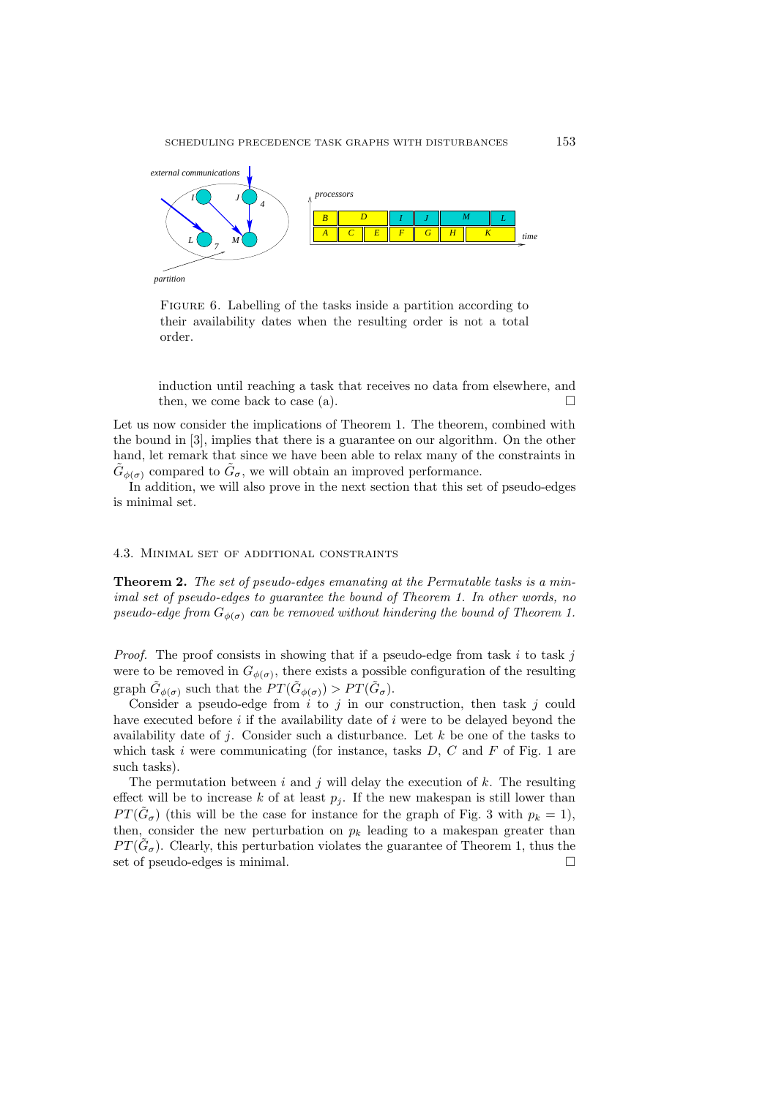

FIGURE 6. Labelling of the tasks inside a partition according to their availability dates when the resulting order is not a total order.

induction until reaching a task that receives no data from elsewhere, and then, we come back to case (a).

Let us now consider the implications of Theorem 1. The theorem, combined with the bound in [3], implies that there is a guarantee on our algorithm. On the other hand, let remark that since we have been able to relax many of the constraints in  $\tilde{G}_{\phi(\sigma)}$  compared to  $\tilde{G}_{\sigma}$ , we will obtain an improved performance.

In addition, we will also prove in the next section that this set of pseudo-edges is minimal set.

#### 4.3. Minimal set of additional constraints

**Theorem 2.** *The set of pseudo-edges emanating at the Permutable tasks is a minimal set of pseudo-edges to guarantee the bound of Theorem 1. In other words, no pseudo-edge from*  $G_{\phi(\sigma)}$  *can be removed without hindering the bound of Theorem 1.* 

*Proof.* The proof consists in showing that if a pseudo-edge from task  $i$  to task  $j$ were to be removed in  $G_{\phi(\sigma)}$ , there exists a possible configuration of the resulting graph  $\tilde{G}_{\phi(\sigma)}$  such that the  $PT(\tilde{G}_{\phi(\sigma)}) > PT(\tilde{G}_{\sigma})$ .

Consider a pseudo-edge from  $i$  to  $j$  in our construction, then task  $j$  could have executed before  $i$  if the availability date of  $i$  were to be delayed beyond the availability date of j. Consider such a disturbance. Let  $k$  be one of the tasks to which task i were communicating (for instance, tasks  $D, C$  and  $F$  of Fig. 1 are such tasks).

The permutation between i and j will delay the execution of  $k$ . The resulting effect will be to increase k of at least  $p_i$ . If the new makespan is still lower than  $PT(\tilde{G}_{\sigma})$  (this will be the case for instance for the graph of Fig. 3 with  $p_k = 1$ ), then, consider the new perturbation on  $p_k$  leading to a makespan greater than  $PT(\tilde{G}_{\sigma})$ . Clearly, this perturbation violates the guarantee of Theorem 1, thus the set of pseudo-edges is minimal.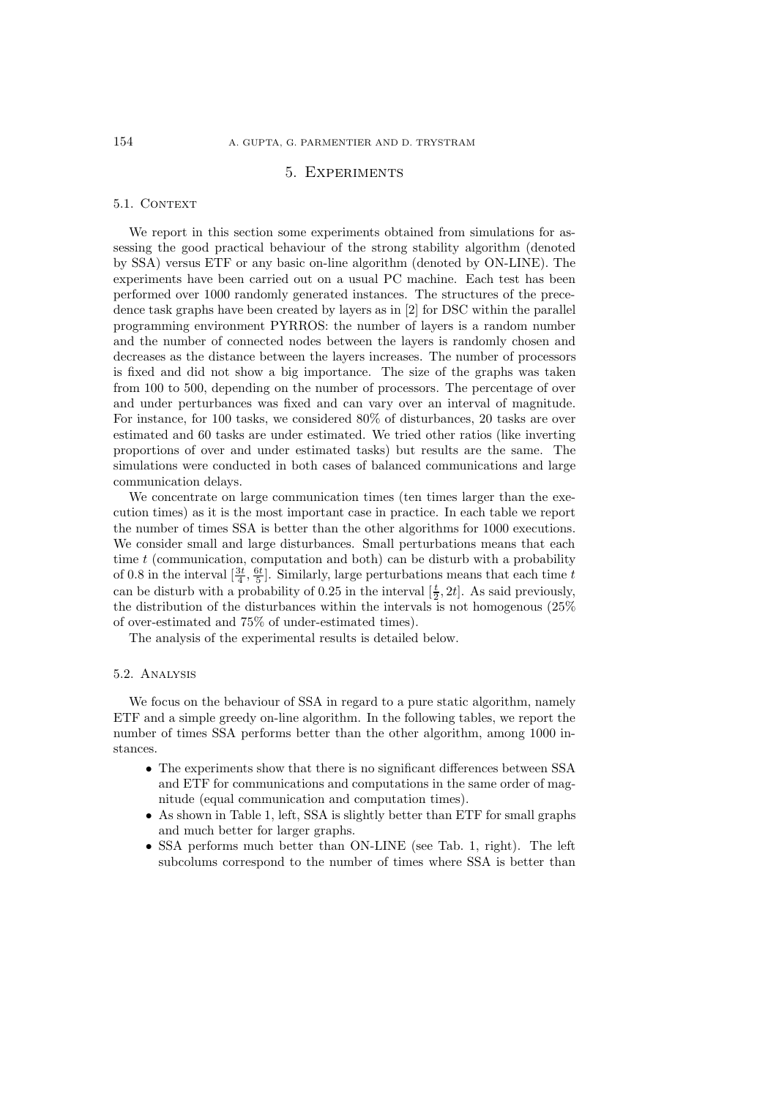# 5. Experiments

#### 5.1. CONTEXT

We report in this section some experiments obtained from simulations for assessing the good practical behaviour of the strong stability algorithm (denoted by SSA) versus ETF or any basic on-line algorithm (denoted by ON-LINE). The experiments have been carried out on a usual PC machine. Each test has been performed over 1000 randomly generated instances. The structures of the precedence task graphs have been created by layers as in [2] for DSC within the parallel programming environment PYRROS: the number of layers is a random number and the number of connected nodes between the layers is randomly chosen and decreases as the distance between the layers increases. The number of processors is fixed and did not show a big importance. The size of the graphs was taken from 100 to 500, depending on the number of processors. The percentage of over and under perturbances was fixed and can vary over an interval of magnitude. For instance, for 100 tasks, we considered 80% of disturbances, 20 tasks are over estimated and 60 tasks are under estimated. We tried other ratios (like inverting proportions of over and under estimated tasks) but results are the same. The simulations were conducted in both cases of balanced communications and large communication delays.

We concentrate on large communication times (ten times larger than the execution times) as it is the most important case in practice. In each table we report the number of times SSA is better than the other algorithms for 1000 executions. We consider small and large disturbances. Small perturbations means that each time  $t$  (communication, computation and both) can be disturb with a probability of 0.8 in the interval  $\left[\frac{3t}{4}, \frac{6t}{5}\right]$ . Similarly, large perturbations means that each time t can be disturb with a probability of 0.25 in the interval  $[\frac{t}{2}, 2t]$ . As said previously, the distribution of the disturbances within the intervals is not homogenous (25% of over-estimated and 75% of under-estimated times).

The analysis of the experimental results is detailed below.

### 5.2. Analysis

We focus on the behaviour of SSA in regard to a pure static algorithm, namely ETF and a simple greedy on-line algorithm. In the following tables, we report the number of times SSA performs better than the other algorithm, among 1000 instances.

- The experiments show that there is no significant differences between SSA and ETF for communications and computations in the same order of magnitude (equal communication and computation times).
- As shown in Table 1, left, SSA is slightly better than ETF for small graphs and much better for larger graphs.
- SSA performs much better than ON-LINE (see Tab. 1, right). The left subcolums correspond to the number of times where SSA is better than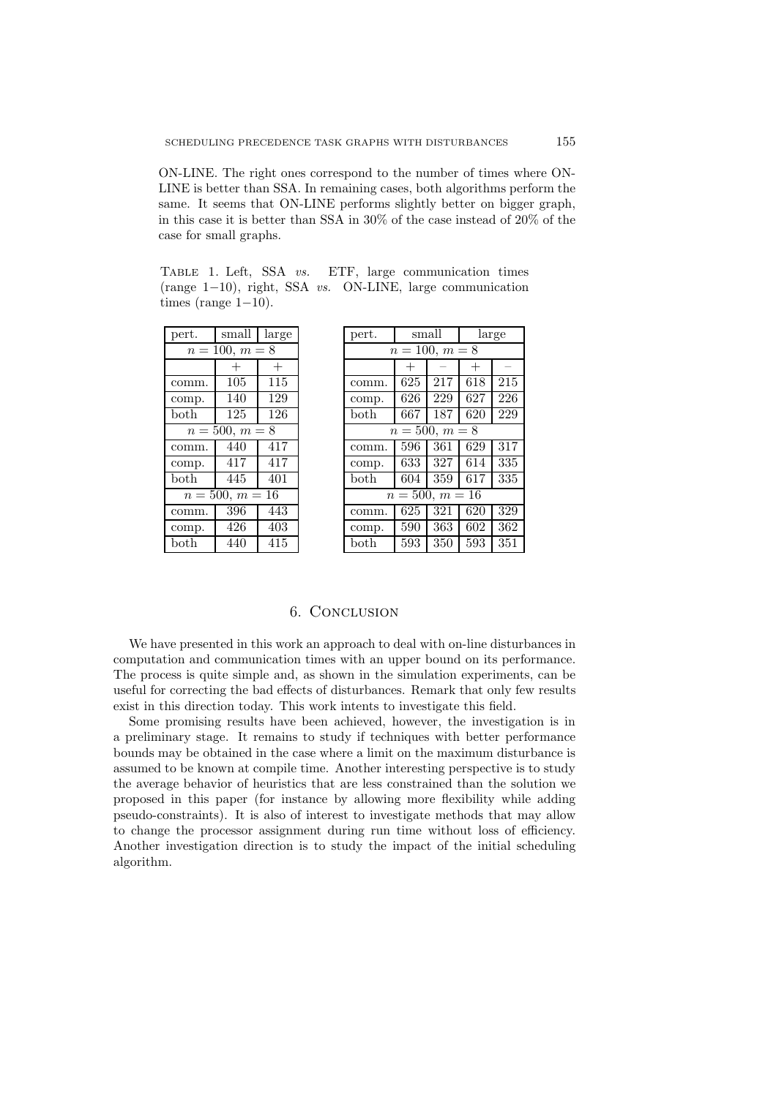ON-LINE. The right ones correspond to the number of times where ON-LINE is better than SSA. In remaining cases, both algorithms perform the same. It seems that ON-LINE performs slightly better on bigger graph, in this case it is better than SSA in 30% of the case instead of 20% of the case for small graphs.

Table 1. Left, SSA *vs.* ETF, large communication times (range 1−10), right, SSA *vs.* ON-LINE, large communication times (range  $1-10$ ).

| pert.             | small  | large  |  |  |  |  |
|-------------------|--------|--------|--|--|--|--|
| $n = 100, m = 8$  |        |        |  |  |  |  |
|                   | $^{+}$ | $^{+}$ |  |  |  |  |
| comm.             | 105    | 115    |  |  |  |  |
| comp.             | 140    | 129    |  |  |  |  |
| both              | 125    | 126    |  |  |  |  |
| $n = 500, m = 8$  |        |        |  |  |  |  |
| comm.             | 440    | 417    |  |  |  |  |
| comp.             | 417    | 417    |  |  |  |  |
| $\mathrm{both}$   | 445    | 401    |  |  |  |  |
| $n = 500, m = 16$ |        |        |  |  |  |  |
| comm.             | 396    | 443    |  |  |  |  |
| comp.             | 426    | 403    |  |  |  |  |
| $_{\rm both}$     | 440    | 415    |  |  |  |  |

| pert.                 | $_{\rm small}$ |     | large  |     |  |
|-----------------------|----------------|-----|--------|-----|--|
| $n = 100, m = 8$      |                |     |        |     |  |
|                       | $^{+}$         |     | $^{+}$ |     |  |
| comm.                 | 625            | 217 | 618    | 215 |  |
| comp.                 | 626            | 229 | 627    | 226 |  |
| both                  | 667            | 187 | 620    | 229 |  |
| $n = 500, m = 8$      |                |     |        |     |  |
| comm.                 | 596            | 361 | 629    | 317 |  |
| comp.                 | 633            | 327 | 614    | 335 |  |
| both                  | 604            | 359 | 617    | 335 |  |
| $n = 500, m =$<br>-16 |                |     |        |     |  |
| comm.                 | 625            | 321 | 620    | 329 |  |
| comp.                 | 590            | 363 | 602    | 362 |  |
| both                  | 593            | 350 | 593    | 351 |  |

# 6. Conclusion

We have presented in this work an approach to deal with on-line disturbances in computation and communication times with an upper bound on its performance. The process is quite simple and, as shown in the simulation experiments, can be useful for correcting the bad effects of disturbances. Remark that only few results exist in this direction today. This work intents to investigate this field.

Some promising results have been achieved, however, the investigation is in a preliminary stage. It remains to study if techniques with better performance bounds may be obtained in the case where a limit on the maximum disturbance is assumed to be known at compile time. Another interesting perspective is to study the average behavior of heuristics that are less constrained than the solution we proposed in this paper (for instance by allowing more flexibility while adding pseudo-constraints). It is also of interest to investigate methods that may allow to change the processor assignment during run time without loss of efficiency. Another investigation direction is to study the impact of the initial scheduling algorithm.